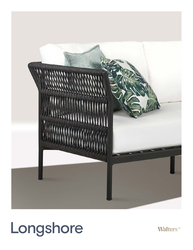

# Longshore

**Walters**"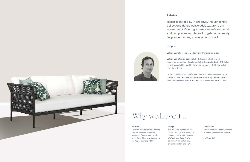#### **Collection**

Reminiscent of play in shadows, the Longshore collection's dense weave adds texture to any environment. Offering a generous sofa sectional and complimentary pieces, Longshore can easily be planned for any space large or small.

#### **Designer**



Jeffrey Bernett, Nicholas Dodziuk and Christopher Skodi

Jeffrey Bernett is an accomplished designer who has won accolades in multiple disciplines. Jeffrey has worked with B&B Italia, as well as such high-profile European groups as Boffi, Cappellini

and Ligne Roset.

He has also been successful as a multi-disciplinary consultant for clients as diverse as Teknion® Bernhardt, Boeing, Herman Miller, Knoll, Michael Kors, Mercedes Benz, Northwest Airlines and DWR.



#### *Quality*

*Just like the brilliance of a pulley system, the powder coated aluminum frame and rope offers a reinforced frame while keeping and open design pattern.*

#### *Perfect For*

*Where you relax… where you play… or where you may want to work…*

*Inside or Out.*

#### *Design*

*The exclusive rope pattern is distinct enough to stand alone but comes alive with the play of shadow and depth when combined with upholstery creating comfort and style.*

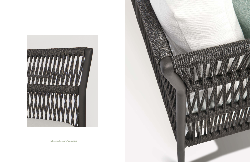

[walterswicker.com/longshore](http://walterswicker.com/longshore)

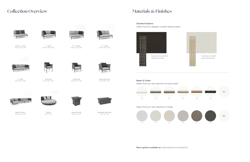### **Collection Overview**



Armless 2 - Seater W 64.5" D 34.5" H 34.5"



2 - Seater W 64.5" D 34.5" H 34.5"



Rectangular Coffee Table W 47" D 30" H 16"



Daybed DIA 70" H 32"



Dining Chair W 21.5" D 24" H 32.5"



Modular Combo 1 W 163" D 64.5" H 34.5"



Lounge Chair W 24.5" D 27.5" H 30"



Large Lounge Chair<br>W 38" D 34.5" H 34.5"





RF – 2 Seater W 64.5" D 34.5" H 34.5"



Square Side Table W 20" D 20" H 18"

## **Materials & Finishes**

**Standard Options**

Select from our designer curated options below



**Made To Order** Select from our vast selection of round ropes









3 - Seater W 96" D 34.5" H 34.5"



LF – 2 Seater W 64.5" D 34.5" H 34.5"